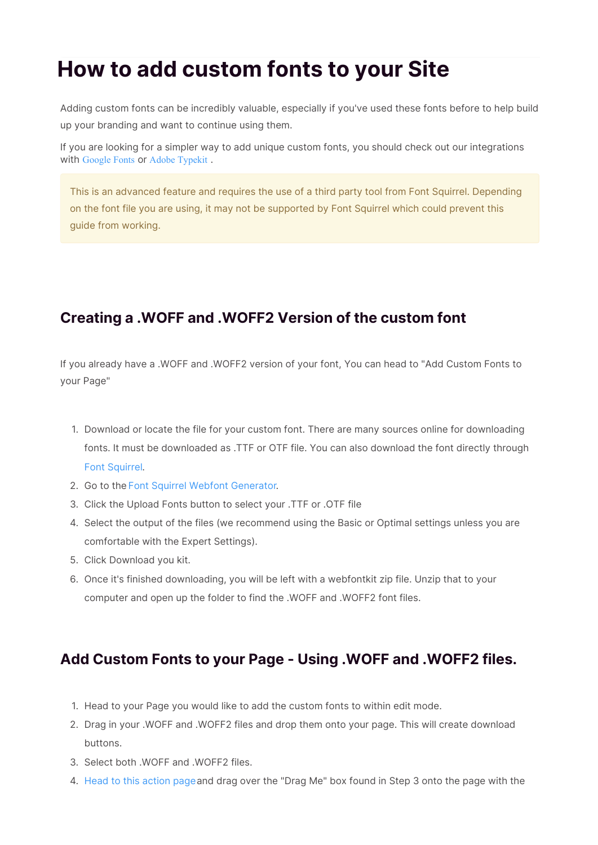## **How to add custom fonts to your Site**

Adding custom fonts can be incredibly valuable, especially if you've used these fonts before to help build up your branding and want to continue using them.

If you are looking for a simpler way to add unique custom fonts, you should check out our integrations with Google Fonts or Adobe Typekit.

This is an advanced feature and requires the use of a third party tool from Font Squirrel. Depending on the font file you are using, it may not be supported by Font Squirrel which could prevent this guide from working.

## **Creating a .WOFF and .WOFF2 Version of the custom font**

If you already have a .WOFF and .WOFF2 version of your font, You can head to "Add Custom Fonts to your Page"

- 1. Download or locate the file for your custom font. There are many sources online for downloading fonts. It must be downloaded as .TTF or OTF file. You can also download the font directly through Font Squirrel.
- 2. Go to the Font Squirrel Webfont Generator.
- 3. Click the Upload Fonts button to select your .TTF or .OTF file
- 4. Select the output of the files (we recommend using the Basic or Optimal settings unless you are comfortable with the Expert Settings).
- 5. Click Download you kit.
- 6. Once it's finished downloading, you will be left with a webfontkit zip file. Unzip that to your computer and open up the folder to find the .WOFF and .WOFF2 font files.

## **Add Custom Fonts to your Page - Using .WOFF and .WOFF2 files.**

- 1. Head to your Page you would like to add the custom fonts to within edit mode.
- 2. Drag in your .WOFF and .WOFF2 files and drop them onto your page. This will create download buttons.
- 3. Select both .WOFF and .WOFF2 files.
- 4. Head to this action pageand drag over the "Drag Me" box found in Step 3 onto the page with the